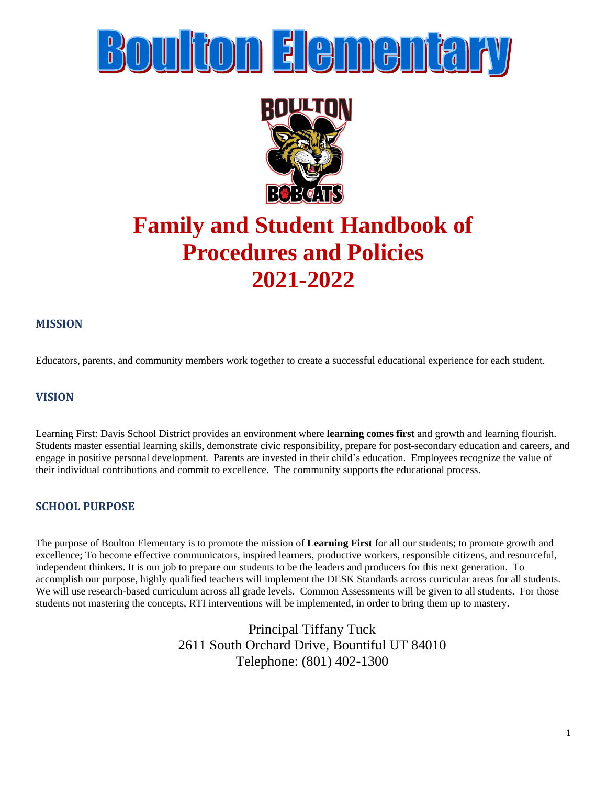# **Boulton Elementary**



## **Family and Student Handbook of Procedures and Policies 2021-2022**

#### **MISSION**

Educators, parents, and community members work together to create a successful educational experience for each student.

#### **VISION**

Learning First: Davis School District provides an environment where **learning comes first** and growth and learning flourish. Students master essential learning skills, demonstrate civic responsibility, prepare for post-secondary education and careers, and engage in positive personal development. Parents are invested in their child's education. Employees recognize the value of their individual contributions and commit to excellence. The community supports the educational process.

#### **SCHOOL PURPOSE**

The purpose of Boulton Elementary is to promote the mission of **Learning First** for all our students; to promote growth and excellence; To become effective communicators, inspired learners, productive workers, responsible citizens, and resourceful, independent thinkers. It is our job to prepare our students to be the leaders and producers for this next generation. To accomplish our purpose, highly qualified teachers will implement the DESK Standards across curricular areas for all students. We will use research-based curriculum across all grade levels. Common Assessments will be given to all students. For those students not mastering the concepts, RTI interventions will be implemented, in order to bring them up to mastery.

> Principal Tiffany Tuck 2611 South Orchard Drive, Bountiful UT 84010 Telephone: (801) 402-1300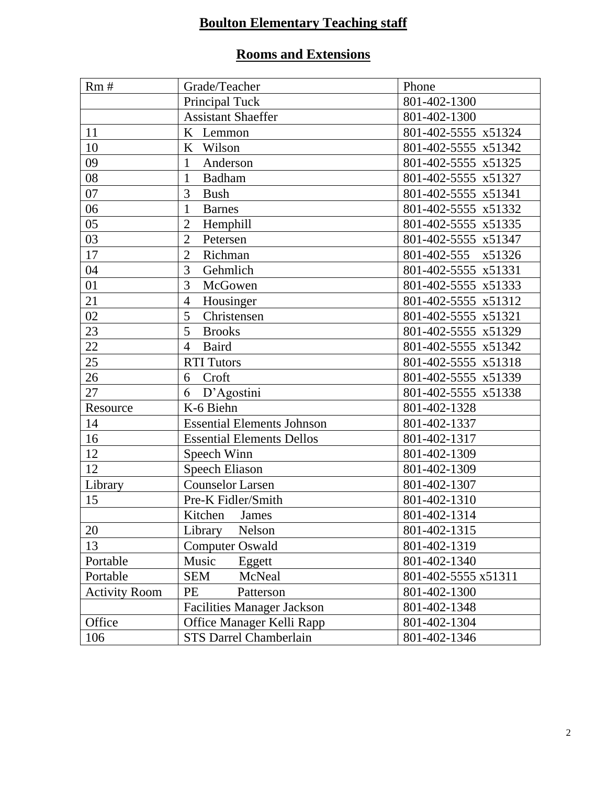### **Boulton Elementary Teaching staff**

### **Rooms and Extensions**

| Rm#                  | Grade/Teacher                     | Phone               |
|----------------------|-----------------------------------|---------------------|
|                      | Principal Tuck                    | 801-402-1300        |
|                      | <b>Assistant Shaeffer</b>         | 801-402-1300        |
| 11                   | K Lemmon                          | 801-402-5555 x51324 |
| 10                   | K<br>Wilson                       | 801-402-5555 x51342 |
| 09                   | Anderson<br>1                     | 801-402-5555 x51325 |
| 08                   | $\mathbf{1}$<br><b>Badham</b>     | 801-402-5555 x51327 |
| 07                   | 3<br><b>Bush</b>                  | 801-402-5555 x51341 |
| 06                   | $\mathbf{1}$<br><b>Barnes</b>     | 801-402-5555 x51332 |
| 05                   | $\overline{2}$<br>Hemphill        | 801-402-5555 x51335 |
| 03                   | $\overline{2}$<br>Petersen        | 801-402-5555 x51347 |
| 17                   | $\overline{2}$<br>Richman         | 801-402-555 x51326  |
| 04                   | 3<br>Gehmlich                     | 801-402-5555 x51331 |
| 01                   | 3<br>McGowen                      | 801-402-5555 x51333 |
| 21                   | Housinger<br>4                    | 801-402-5555 x51312 |
| 02                   | 5<br>Christensen                  | 801-402-5555 x51321 |
| 23                   | 5<br><b>Brooks</b>                | 801-402-5555 x51329 |
| 22                   | <b>Baird</b><br>$\overline{4}$    | 801-402-5555 x51342 |
| 25                   | <b>RTI</b> Tutors                 | 801-402-5555 x51318 |
| 26                   | Croft<br>6                        | 801-402-5555 x51339 |
| 27                   | D'Agostini<br>6                   | 801-402-5555 x51338 |
| Resource             | K-6 Biehn                         | 801-402-1328        |
| 14                   | <b>Essential Elements Johnson</b> | 801-402-1337        |
| 16                   | <b>Essential Elements Dellos</b>  | 801-402-1317        |
| 12                   | Speech Winn                       | 801-402-1309        |
| 12                   | Speech Eliason                    | 801-402-1309        |
| Library              | <b>Counselor Larsen</b>           | 801-402-1307        |
| 15                   | Pre-K Fidler/Smith                | 801-402-1310        |
|                      | Kitchen<br>James                  | 801-402-1314        |
| 20                   | Library<br>Nelson                 | 801-402-1315        |
| 13                   | <b>Computer Oswald</b>            | 801-402-1319        |
| Portable             | Music<br>Eggett                   | 801-402-1340        |
| Portable             | <b>SEM</b><br>McNeal              | 801-402-5555 x51311 |
| <b>Activity Room</b> | PE<br>Patterson                   | 801-402-1300        |
|                      | <b>Facilities Manager Jackson</b> | 801-402-1348        |
| Office               | Office Manager Kelli Rapp         | 801-402-1304        |
| 106                  | <b>STS Darrel Chamberlain</b>     | 801-402-1346        |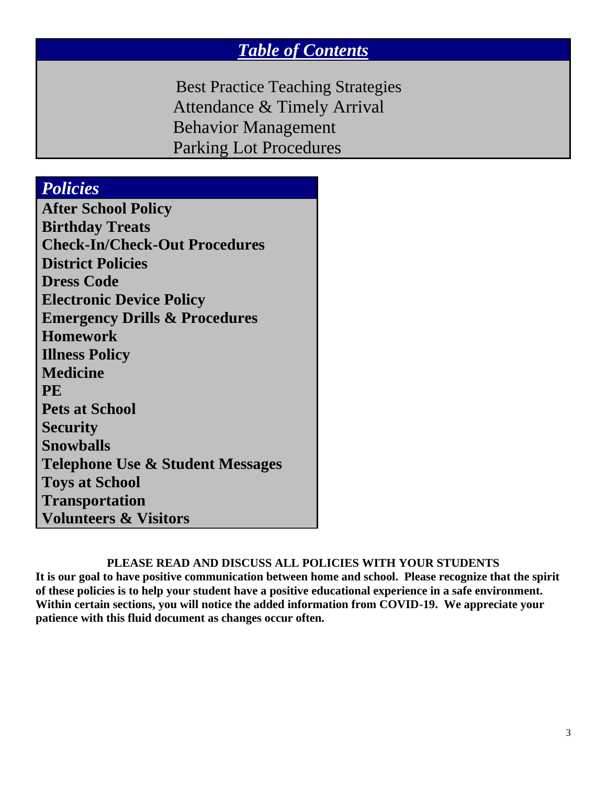### *Table of Contents*

 Best Practice Teaching Strategies Attendance & Timely Arrival Behavior Management Parking Lot Procedures

### *Policies*

**After School Policy Birthday Treats Check-In/Check-Out Procedures District Policies Dress Code Electronic Device Policy Emergency Drills & Procedures Homework Illness Policy Medicine PE Pets at School Security Snowballs Telephone Use & Student Messages Toys at School Transportation Volunteers & Visitors**

#### **PLEASE READ AND DISCUSS ALL POLICIES WITH YOUR STUDENTS**

**It is our goal to have positive communication between home and school. Please recognize that the spirit of these policies is to help your student have a positive educational experience in a safe environment. Within certain sections, you will notice the added information from COVID-19. We appreciate your patience with this fluid document as changes occur often.**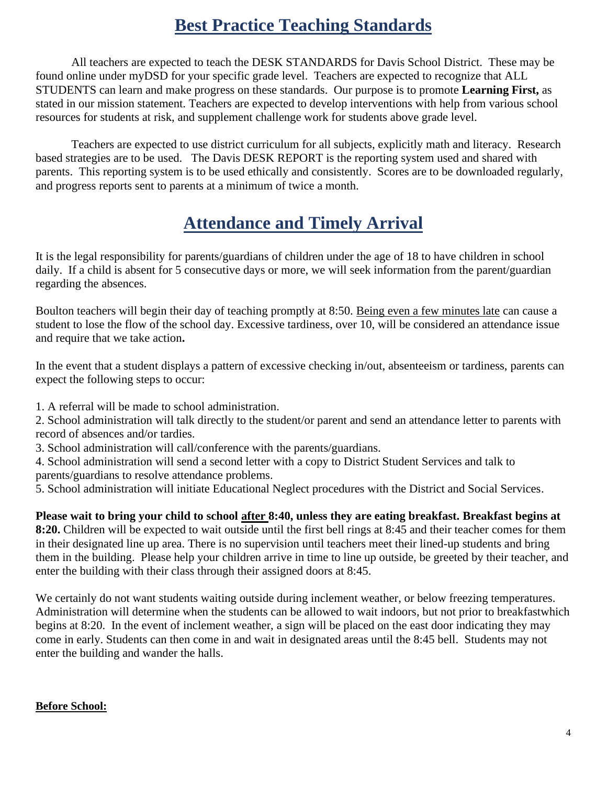### **Best Practice Teaching Standards**

All teachers are expected to teach the DESK STANDARDS for Davis School District. These may be found online under myDSD for your specific grade level. Teachers are expected to recognize that ALL STUDENTS can learn and make progress on these standards. Our purpose is to promote **Learning First,** as stated in our mission statement. Teachers are expected to develop interventions with help from various school resources for students at risk, and supplement challenge work for students above grade level.

Teachers are expected to use district curriculum for all subjects, explicitly math and literacy. Research based strategies are to be used. The Davis DESK REPORT is the reporting system used and shared with parents. This reporting system is to be used ethically and consistently. Scores are to be downloaded regularly, and progress reports sent to parents at a minimum of twice a month.

### **Attendance and Timely Arrival**

It is the legal responsibility for parents/guardians of children under the age of 18 to have children in school daily. If a child is absent for 5 consecutive days or more, we will seek information from the parent/guardian regarding the absences.

Boulton teachers will begin their day of teaching promptly at 8:50. Being even a few minutes late can cause a student to lose the flow of the school day. Excessive tardiness, over 10, will be considered an attendance issue and require that we take action**.**

In the event that a student displays a pattern of excessive checking in/out, absenteeism or tardiness, parents can expect the following steps to occur:

1. A referral will be made to school administration.

2. School administration will talk directly to the student/or parent and send an attendance letter to parents with record of absences and/or tardies.

- 3. School administration will call/conference with the parents/guardians.
- 4. School administration will send a second letter with a copy to District Student Services and talk to parents/guardians to resolve attendance problems.

5. School administration will initiate Educational Neglect procedures with the District and Social Services.

**Please wait to bring your child to school after 8:40, unless they are eating breakfast. Breakfast begins at 8:20.** Children will be expected to wait outside until the first bell rings at 8:45 and their teacher comes for them in their designated line up area. There is no supervision until teachers meet their lined-up students and bring them in the building. Please help your children arrive in time to line up outside, be greeted by their teacher, and enter the building with their class through their assigned doors at 8:45.

We certainly do not want students waiting outside during inclement weather, or below freezing temperatures. Administration will determine when the students can be allowed to wait indoors, but not prior to breakfastwhich begins at 8:20. In the event of inclement weather, a sign will be placed on the east door indicating they may come in early. Students can then come in and wait in designated areas until the 8:45 bell. Students may not enter the building and wander the halls.

#### **Before School:**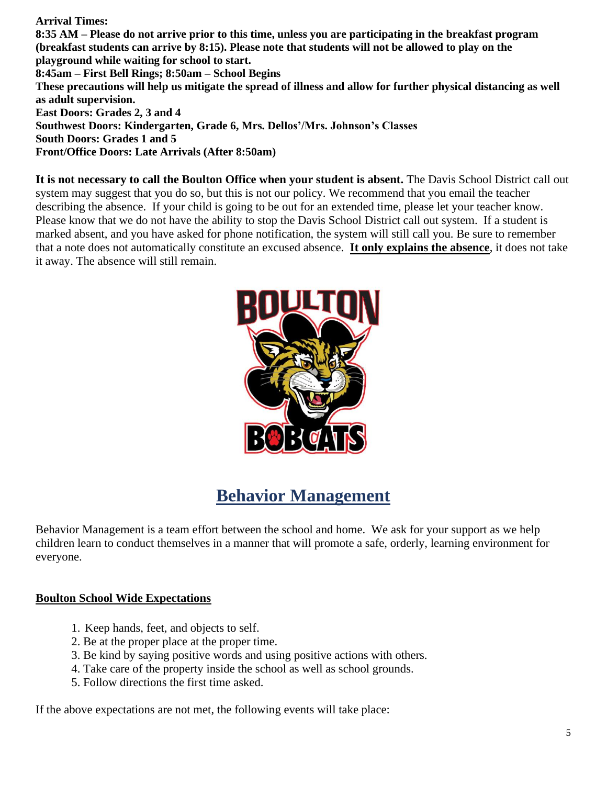**Arrival Times:** 

**8:35 AM – Please do not arrive prior to this time, unless you are participating in the breakfast program (breakfast students can arrive by 8:15). Please note that students will not be allowed to play on the playground while waiting for school to start. 8:45am – First Bell Rings; 8:50am – School Begins These precautions will help us mitigate the spread of illness and allow for further physical distancing as well as adult supervision. East Doors: Grades 2, 3 and 4 Southwest Doors: Kindergarten, Grade 6, Mrs. Dellos'/Mrs. Johnson's Classes South Doors: Grades 1 and 5 Front/Office Doors: Late Arrivals (After 8:50am)**

**It is not necessary to call the Boulton Office when your student is absent.** The Davis School District call out system may suggest that you do so, but this is not our policy. We recommend that you email the teacher describing the absence. If your child is going to be out for an extended time, please let your teacher know. Please know that we do not have the ability to stop the Davis School District call out system. If a student is marked absent, and you have asked for phone notification, the system will still call you. Be sure to remember that a note does not automatically constitute an excused absence. **It only explains the absence**, it does not take it away. The absence will still remain.



### **Behavior Management**

Behavior Management is a team effort between the school and home. We ask for your support as we help children learn to conduct themselves in a manner that will promote a safe, orderly, learning environment for everyone.

#### **Boulton School Wide Expectations**

- 1. Keep hands, feet, and objects to self.
- 2. Be at the proper place at the proper time.
- 3. Be kind by saying positive words and using positive actions with others.
- 4. Take care of the property inside the school as well as school grounds.
- 5. Follow directions the first time asked.

If the above expectations are not met, the following events will take place: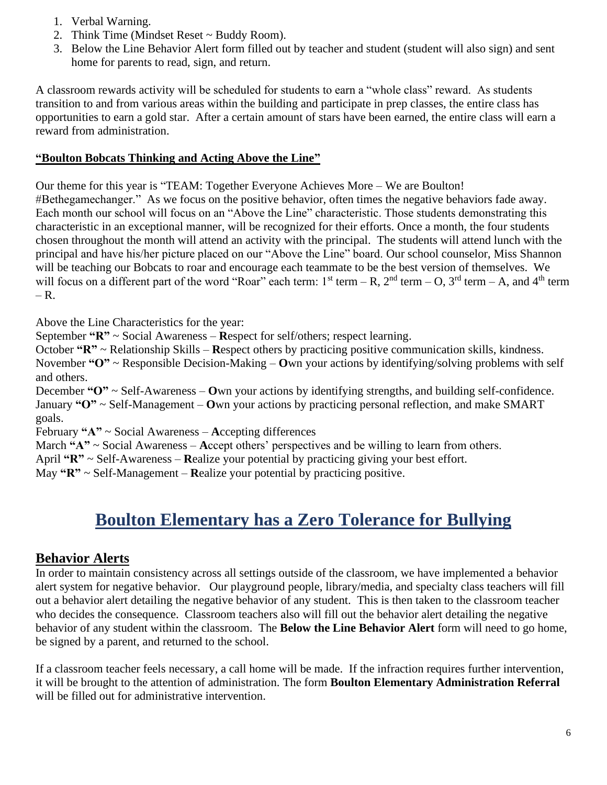- 1. Verbal Warning.
- 2. Think Time (Mindset Reset ~ Buddy Room).
- 3. Below the Line Behavior Alert form filled out by teacher and student (student will also sign) and sent home for parents to read, sign, and return.

A classroom rewards activity will be scheduled for students to earn a "whole class" reward. As students transition to and from various areas within the building and participate in prep classes, the entire class has opportunities to earn a gold star. After a certain amount of stars have been earned, the entire class will earn a reward from administration.

#### **"Boulton Bobcats Thinking and Acting Above the Line"**

Our theme for this year is "TEAM: Together Everyone Achieves More – We are Boulton! #Bethegamechanger." As we focus on the positive behavior, often times the negative behaviors fade away. Each month our school will focus on an "Above the Line" characteristic. Those students demonstrating this characteristic in an exceptional manner, will be recognized for their efforts. Once a month, the four students chosen throughout the month will attend an activity with the principal. The students will attend lunch with the principal and have his/her picture placed on our "Above the Line" board. Our school counselor, Miss Shannon will be teaching our Bobcats to roar and encourage each teammate to be the best version of themselves. We will focus on a different part of the word "Roar" each term:  $1^{st}$  term – R,  $2^{nd}$  term – O,  $3^{rd}$  term – A, and  $4^{th}$  term  $-$  R.

Above the Line Characteristics for the year:

September **"R"** ~ Social Awareness – **R**espect for self/others; respect learning.

October **"R"** ~ Relationship Skills – **R**espect others by practicing positive communication skills, kindness. November **"O"** ~ Responsible Decision-Making – **O**wn your actions by identifying/solving problems with self and others.

December **"O"** ~ Self-Awareness – **O**wn your actions by identifying strengths, and building self-confidence. January **"O"** ~ Self-Management – **O**wn your actions by practicing personal reflection, and make SMART goals.

February **"A"** ~ Social Awareness – **A**ccepting differences

March **"A"** ~ Social Awareness – **A**ccept others' perspectives and be willing to learn from others.

April **"R"** ~ Self-Awareness – **R**ealize your potential by practicing giving your best effort.

May **"R"** ~ Self-Management – **R**ealize your potential by practicing positive.

### **Boulton Elementary has a Zero Tolerance for Bullying**

#### **Behavior Alerts**

In order to maintain consistency across all settings outside of the classroom, we have implemented a behavior alert system for negative behavior. Our playground people, library/media, and specialty class teachers will fill out a behavior alert detailing the negative behavior of any student. This is then taken to the classroom teacher who decides the consequence. Classroom teachers also will fill out the behavior alert detailing the negative behavior of any student within the classroom. The **Below the Line Behavior Alert** form will need to go home, be signed by a parent, and returned to the school.

If a classroom teacher feels necessary, a call home will be made. If the infraction requires further intervention, it will be brought to the attention of administration. The form **Boulton Elementary Administration Referral** will be filled out for administrative intervention.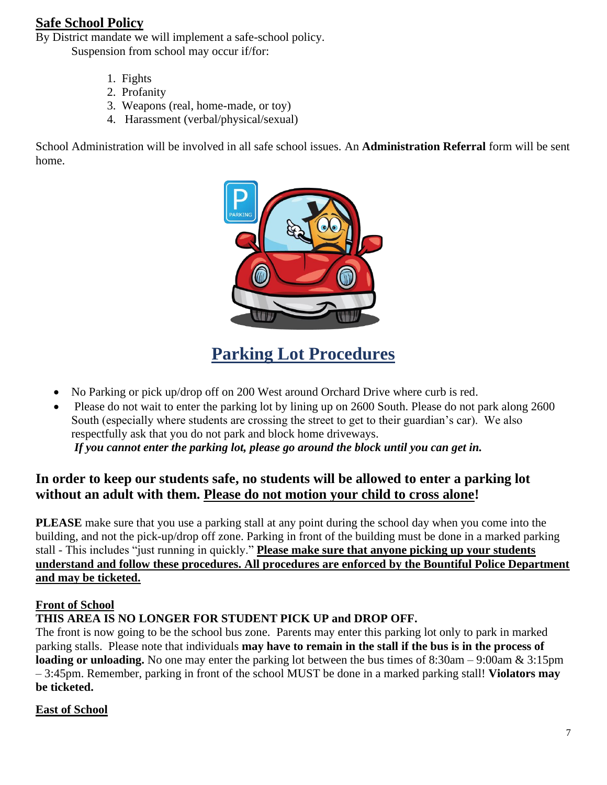#### **Safe School Policy**

By District mandate we will implement a safe-school policy. Suspension from school may occur if/for:

- 1. Fights
- 2. Profanity
- 3. Weapons (real, home-made, or toy)
- 4. Harassment (verbal/physical/sexual)

School Administration will be involved in all safe school issues. An **Administration Referral** form will be sent home.



### **Parking Lot Procedures**

- No Parking or pick up/drop off on 200 West around Orchard Drive where curb is red.
- Please do not wait to enter the parking lot by lining up on 2600 South. Please do not park along 2600 South (especially where students are crossing the street to get to their guardian's car). We also respectfully ask that you do not park and block home driveways. *If you cannot enter the parking lot, please go around the block until you can get in.*

#### **In order to keep our students safe, no students will be allowed to enter a parking lot without an adult with them. Please do not motion your child to cross alone!**

**PLEASE** make sure that you use a parking stall at any point during the school day when you come into the building, and not the pick-up/drop off zone. Parking in front of the building must be done in a marked parking stall - This includes "just running in quickly." **Please make sure that anyone picking up your students understand and follow these procedures. All procedures are enforced by the Bountiful Police Department and may be ticketed.**

#### **Front of School**

#### **THIS AREA IS NO LONGER FOR STUDENT PICK UP and DROP OFF.**

The front is now going to be the school bus zone. Parents may enter this parking lot only to park in marked parking stalls. Please note that individuals **may have to remain in the stall if the bus is in the process of loading or unloading.** No one may enter the parking lot between the bus times of 8:30am – 9:00am & 3:15pm – 3:45pm. Remember, parking in front of the school MUST be done in a marked parking stall! **Violators may be ticketed.**

#### **East of School**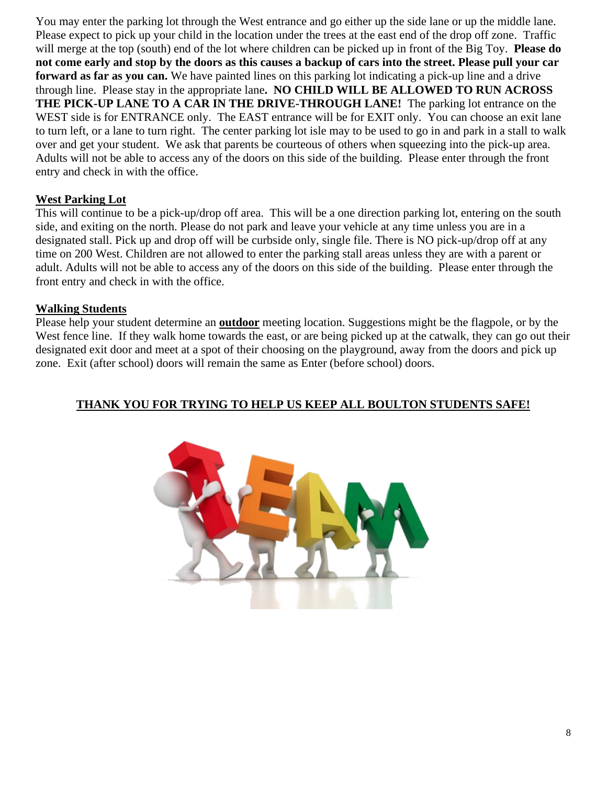You may enter the parking lot through the West entrance and go either up the side lane or up the middle lane. Please expect to pick up your child in the location under the trees at the east end of the drop off zone. Traffic will merge at the top (south) end of the lot where children can be picked up in front of the Big Toy. **Please do not come early and stop by the doors as this causes a backup of cars into the street. Please pull your car forward as far as you can.** We have painted lines on this parking lot indicating a pick-up line and a drive through line. Please stay in the appropriate lane**. NO CHILD WILL BE ALLOWED TO RUN ACROSS THE PICK-UP LANE TO A CAR IN THE DRIVE-THROUGH LANE!** The parking lot entrance on the WEST side is for ENTRANCE only. The EAST entrance will be for EXIT only. You can choose an exit lane to turn left, or a lane to turn right. The center parking lot isle may to be used to go in and park in a stall to walk over and get your student. We ask that parents be courteous of others when squeezing into the pick-up area. Adults will not be able to access any of the doors on this side of the building. Please enter through the front entry and check in with the office.

#### **West Parking Lot**

This will continue to be a pick-up/drop off area. This will be a one direction parking lot, entering on the south side, and exiting on the north. Please do not park and leave your vehicle at any time unless you are in a designated stall. Pick up and drop off will be curbside only, single file. There is NO pick-up/drop off at any time on 200 West. Children are not allowed to enter the parking stall areas unless they are with a parent or adult. Adults will not be able to access any of the doors on this side of the building. Please enter through the front entry and check in with the office.

#### **Walking Students**

Please help your student determine an **outdoor** meeting location. Suggestions might be the flagpole, or by the West fence line. If they walk home towards the east, or are being picked up at the catwalk, they can go out their designated exit door and meet at a spot of their choosing on the playground, away from the doors and pick up zone. Exit (after school) doors will remain the same as Enter (before school) doors.

#### **THANK YOU FOR TRYING TO HELP US KEEP ALL BOULTON STUDENTS SAFE!**

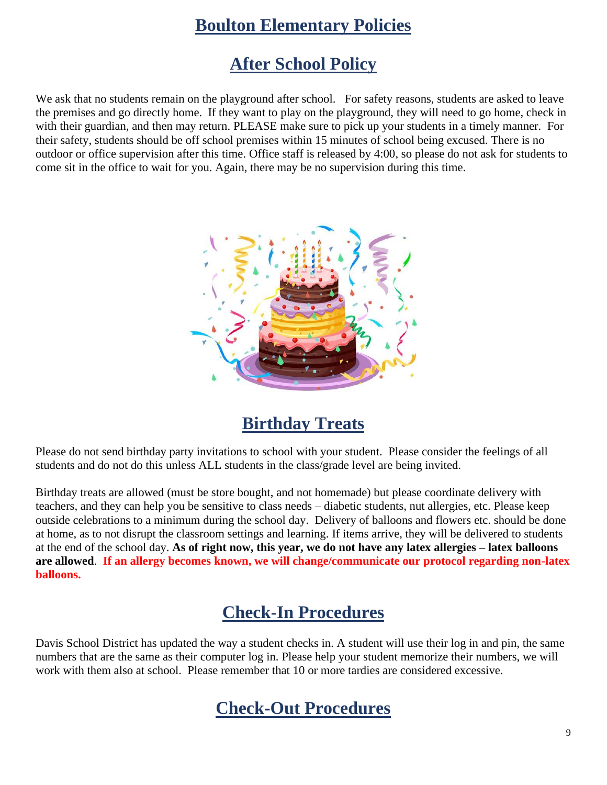### **Boulton Elementary Policies**

### **After School Policy**

We ask that no students remain on the playground after school. For safety reasons, students are asked to leave the premises and go directly home. If they want to play on the playground, they will need to go home, check in with their guardian, and then may return. PLEASE make sure to pick up your students in a timely manner. For their safety, students should be off school premises within 15 minutes of school being excused. There is no outdoor or office supervision after this time. Office staff is released by 4:00, so please do not ask for students to come sit in the office to wait for you. Again, there may be no supervision during this time.



### **Birthday Treats**

Please do not send birthday party invitations to school with your student. Please consider the feelings of all students and do not do this unless ALL students in the class/grade level are being invited.

Birthday treats are allowed (must be store bought, and not homemade) but please coordinate delivery with teachers, and they can help you be sensitive to class needs – diabetic students, nut allergies, etc. Please keep outside celebrations to a minimum during the school day. Delivery of balloons and flowers etc. should be done at home, as to not disrupt the classroom settings and learning. If items arrive, they will be delivered to students at the end of the school day. **As of right now, this year, we do not have any latex allergies – latex balloons are allowed**. **If an allergy becomes known, we will change/communicate our protocol regarding non-latex balloons.** 

### **Check-In Procedures**

Davis School District has updated the way a student checks in. A student will use their log in and pin, the same numbers that are the same as their computer log in. Please help your student memorize their numbers, we will work with them also at school. Please remember that 10 or more tardies are considered excessive.

### **Check-Out Procedures**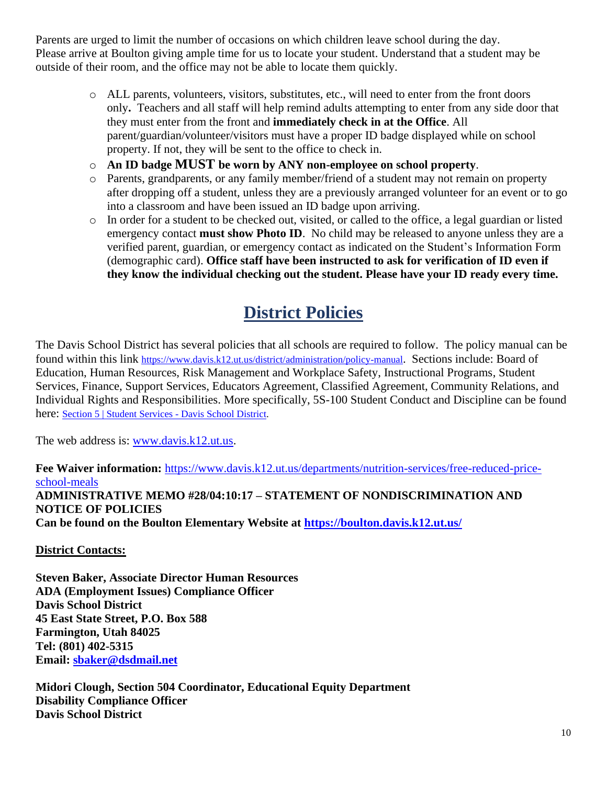Parents are urged to limit the number of occasions on which children leave school during the day. Please arrive at Boulton giving ample time for us to locate your student. Understand that a student may be outside of their room, and the office may not be able to locate them quickly.

- o ALL parents, volunteers, visitors, substitutes, etc., will need to enter from the front doors only**.** Teachers and all staff will help remind adults attempting to enter from any side door that they must enter from the front and **immediately check in at the Office**. All parent/guardian/volunteer/visitors must have a proper ID badge displayed while on school property. If not, they will be sent to the office to check in.
- o **An ID badge MUST be worn by ANY non-employee on school property**.
- o Parents, grandparents, or any family member/friend of a student may not remain on property after dropping off a student, unless they are a previously arranged volunteer for an event or to go into a classroom and have been issued an ID badge upon arriving.
- $\circ$  In order for a student to be checked out, visited, or called to the office, a legal guardian or listed emergency contact **must show Photo ID**. No child may be released to anyone unless they are a verified parent, guardian, or emergency contact as indicated on the Student's Information Form (demographic card). **Office staff have been instructed to ask for verification of ID even if they know the individual checking out the student. Please have your ID ready every time.**

### **District Policies**

The Davis School District has several policies that all schools are required to follow. The policy manual can be found within this link <https://www.davis.k12.ut.us/district/administration/policy-manual>. Sections include: Board of Education, Human Resources, Risk Management and Workplace Safety, Instructional Programs, Student Services, Finance, Support Services, Educators Agreement, Classified Agreement, Community Relations, and Individual Rights and Responsibilities. More specifically, 5S-100 Student Conduct and Discipline can be found here: [Section 5 | Student Services -](https://www.davis.k12.ut.us/district/administration/policy-manual/section-5-student-services) Davis School District.

The web address is: [www.davis.k12.ut.us.](http://www.davis.k12.ut.us/)

**Fee Waiver information:** [https://www.davis.k12.ut.us/departments/nutrition-services/free-reduced-price](https://www.davis.k12.ut.us/departments/nutrition-services/free-reduced-price-school-meals)[school-meals](https://www.davis.k12.ut.us/departments/nutrition-services/free-reduced-price-school-meals) **ADMINISTRATIVE MEMO #28/04:10:17 – STATEMENT OF NONDISCRIMINATION AND NOTICE OF POLICIES Can be found on the Boulton Elementary Website at <https://boulton.davis.k12.ut.us/>**

**District Contacts:**

**Steven Baker, Associate Director Human Resources ADA (Employment Issues) Compliance Officer Davis School District 45 East State Street, P.O. Box 588 Farmington, Utah 84025 Tel: (801) 402-5315 Email: [sbaker@dsdmail.net](mailto:sbaker@dsdmail.net)**

**Midori Clough, Section 504 Coordinator, Educational Equity Department Disability Compliance Officer Davis School District**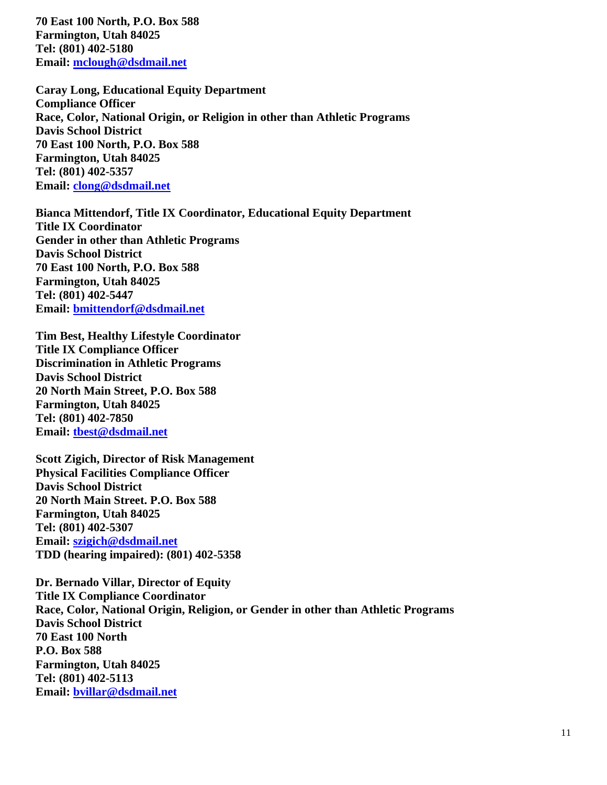**70 East 100 North, P.O. Box 588 Farmington, Utah 84025 Tel: (801) 402-5180 Email: [mclough@dsdmail.net](mailto:mclough@dsdmail.net)**

**Caray Long, Educational Equity Department Compliance Officer Race, Color, National Origin, or Religion in other than Athletic Programs Davis School District 70 East 100 North, P.O. Box 588 Farmington, Utah 84025 Tel: (801) 402-5357 Email: [clong@dsdmail.net](mailto:clong@dsdmail.net)**

**Bianca Mittendorf, Title IX Coordinator, Educational Equity Department Title IX Coordinator Gender in other than Athletic Programs Davis School District 70 East 100 North, P.O. Box 588 Farmington, Utah 84025 Tel: (801) 402-5447 Email: [bmittendorf@dsdmail.net](mailto:bmittendorf@dsdmail.net)**

**Tim Best, Healthy Lifestyle Coordinator Title IX Compliance Officer Discrimination in Athletic Programs Davis School District 20 North Main Street, P.O. Box 588 Farmington, Utah 84025 Tel: (801) 402-7850 Email: [tbest@dsdmail.net](mailto:tbest@dsdmail.net)**

**Scott Zigich, Director of Risk Management Physical Facilities Compliance Officer Davis School District 20 North Main Street. P.O. Box 588 Farmington, Utah 84025 Tel: (801) 402-5307 Email: [szigich@dsdmail.net](mailto:szigich@dsdmail.net) TDD (hearing impaired): (801) 402-5358** 

**Dr. Bernado Villar, Director of Equity Title IX Compliance Coordinator Race, Color, National Origin, Religion, or Gender in other than Athletic Programs Davis School District 70 East 100 North P.O. Box 588 Farmington, Utah 84025 Tel: (801) 402-5113 Email: [bvillar@dsdmail.net](mailto:bvillar@dsdmail.net)**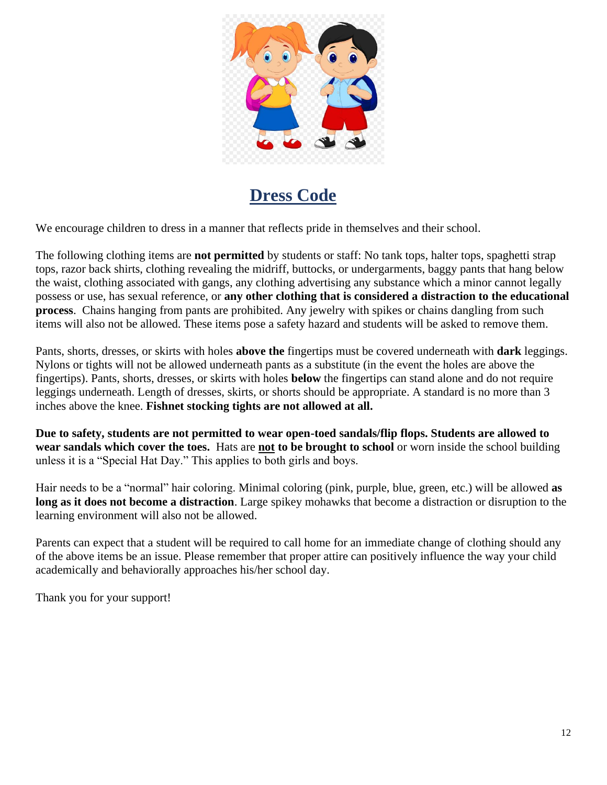

### **Dress Code**

We encourage children to dress in a manner that reflects pride in themselves and their school.

The following clothing items are **not permitted** by students or staff: No tank tops, halter tops, spaghetti strap tops, razor back shirts, clothing revealing the midriff, buttocks, or undergarments, baggy pants that hang below the waist, clothing associated with gangs, any clothing advertising any substance which a minor cannot legally possess or use, has sexual reference, or **any other clothing that is considered a distraction to the educational process**. Chains hanging from pants are prohibited. Any jewelry with spikes or chains dangling from such items will also not be allowed. These items pose a safety hazard and students will be asked to remove them.

Pants, shorts, dresses, or skirts with holes **above the** fingertips must be covered underneath with **dark** leggings. Nylons or tights will not be allowed underneath pants as a substitute (in the event the holes are above the fingertips). Pants, shorts, dresses, or skirts with holes **below** the fingertips can stand alone and do not require leggings underneath. Length of dresses, skirts, or shorts should be appropriate. A standard is no more than 3 inches above the knee. **Fishnet stocking tights are not allowed at all.**

**Due to safety, students are not permitted to wear open-toed sandals/flip flops. Students are allowed to wear sandals which cover the toes.** Hats are **not to be brought to school** or worn inside the school building unless it is a "Special Hat Day." This applies to both girls and boys.

Hair needs to be a "normal" hair coloring. Minimal coloring (pink, purple, blue, green, etc.) will be allowed **as long as it does not become a distraction**. Large spikey mohawks that become a distraction or disruption to the learning environment will also not be allowed.

Parents can expect that a student will be required to call home for an immediate change of clothing should any of the above items be an issue. Please remember that proper attire can positively influence the way your child academically and behaviorally approaches his/her school day.

Thank you for your support!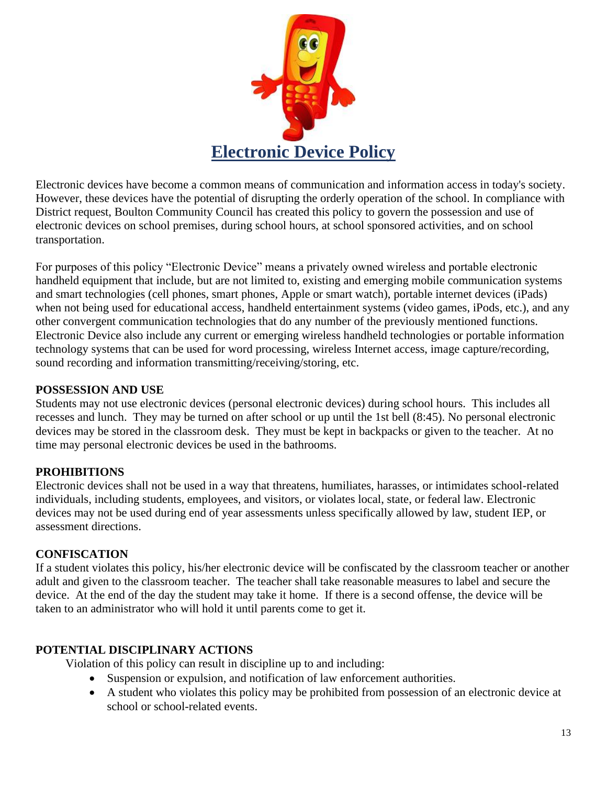

Electronic devices have become a common means of communication and information access in today's society. However, these devices have the potential of disrupting the orderly operation of the school. In compliance with District request, Boulton Community Council has created this policy to govern the possession and use of electronic devices on school premises, during school hours, at school sponsored activities, and on school transportation.

For purposes of this policy "Electronic Device" means a privately owned wireless and portable electronic handheld equipment that include, but are not limited to, existing and emerging mobile communication systems and smart technologies (cell phones, smart phones, Apple or smart watch), portable internet devices (iPads) when not being used for educational access, handheld entertainment systems (video games, iPods, etc.), and any other convergent communication technologies that do any number of the previously mentioned functions. Electronic Device also include any current or emerging wireless handheld technologies or portable information technology systems that can be used for word processing, wireless Internet access, image capture/recording, sound recording and information transmitting/receiving/storing, etc.

#### **POSSESSION AND USE**

Students may not use electronic devices (personal electronic devices) during school hours. This includes all recesses and lunch. They may be turned on after school or up until the 1st bell (8:45). No personal electronic devices may be stored in the classroom desk. They must be kept in backpacks or given to the teacher. At no time may personal electronic devices be used in the bathrooms.

#### **PROHIBITIONS**

Electronic devices shall not be used in a way that threatens, humiliates, harasses, or intimidates school-related individuals, including students, employees, and visitors, or violates local, state, or federal law. Electronic devices may not be used during end of year assessments unless specifically allowed by law, student IEP, or assessment directions.

#### **CONFISCATION**

If a student violates this policy, his/her electronic device will be confiscated by the classroom teacher or another adult and given to the classroom teacher. The teacher shall take reasonable measures to label and secure the device. At the end of the day the student may take it home. If there is a second offense, the device will be taken to an administrator who will hold it until parents come to get it.

#### **POTENTIAL DISCIPLINARY ACTIONS**

Violation of this policy can result in discipline up to and including:

- Suspension or expulsion, and notification of law enforcement authorities.
- A student who violates this policy may be prohibited from possession of an electronic device at school or school-related events.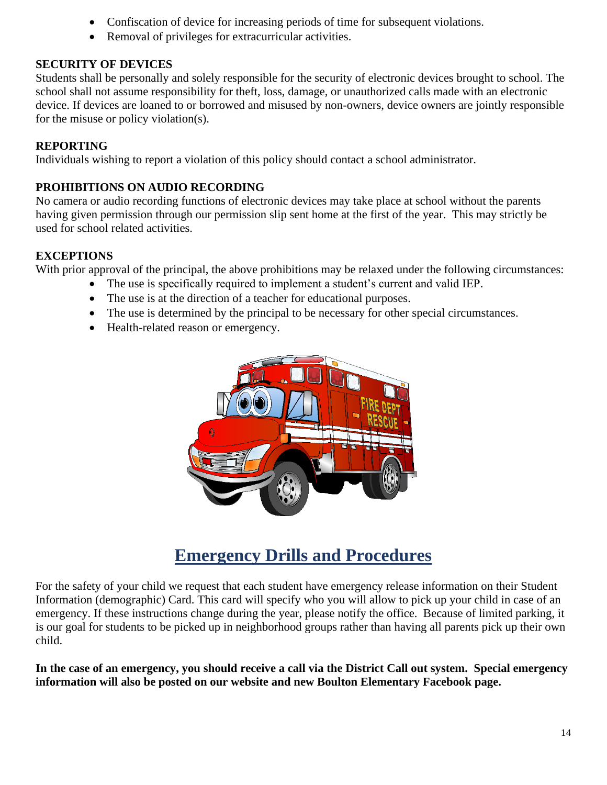- Confiscation of device for increasing periods of time for subsequent violations.
- Removal of privileges for extracurricular activities.

#### **SECURITY OF DEVICES**

Students shall be personally and solely responsible for the security of electronic devices brought to school. The school shall not assume responsibility for theft, loss, damage, or unauthorized calls made with an electronic device. If devices are loaned to or borrowed and misused by non-owners, device owners are jointly responsible for the misuse or policy violation(s).

#### **REPORTING**

Individuals wishing to report a violation of this policy should contact a school administrator.

#### **PROHIBITIONS ON AUDIO RECORDING**

No camera or audio recording functions of electronic devices may take place at school without the parents having given permission through our permission slip sent home at the first of the year. This may strictly be used for school related activities.

#### **EXCEPTIONS**

With prior approval of the principal, the above prohibitions may be relaxed under the following circumstances:

- The use is specifically required to implement a student's current and valid IEP.
- The use is at the direction of a teacher for educational purposes.
- The use is determined by the principal to be necessary for other special circumstances.
- Health-related reason or emergency.



### **Emergency Drills and Procedures**

For the safety of your child we request that each student have emergency release information on their Student Information (demographic) Card. This card will specify who you will allow to pick up your child in case of an emergency. If these instructions change during the year, please notify the office. Because of limited parking, it is our goal for students to be picked up in neighborhood groups rather than having all parents pick up their own child.

**In the case of an emergency, you should receive a call via the District Call out system. Special emergency information will also be posted on our website and new Boulton Elementary Facebook page.**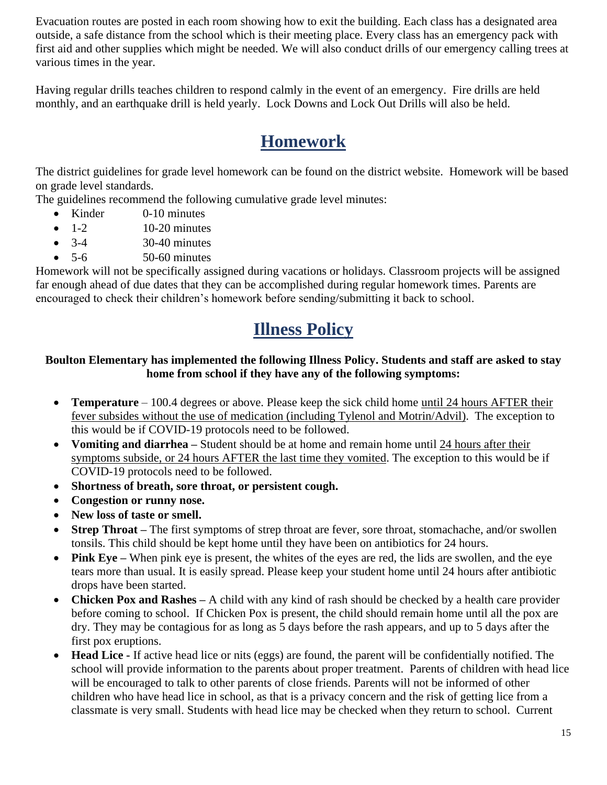Evacuation routes are posted in each room showing how to exit the building. Each class has a designated area outside, a safe distance from the school which is their meeting place. Every class has an emergency pack with first aid and other supplies which might be needed. We will also conduct drills of our emergency calling trees at various times in the year.

Having regular drills teaches children to respond calmly in the event of an emergency. Fire drills are held monthly, and an earthquake drill is held yearly. Lock Downs and Lock Out Drills will also be held.

### **Homework**

The district guidelines for grade level homework can be found on the district website. Homework will be based on grade level standards.

The guidelines recommend the following cumulative grade level minutes:

- Kinder 0-10 minutes
- $\bullet$  1-2 10-20 minutes
- $3-4$   $30-40$  minutes
- $5-6$   $50-60$  minutes

Homework will not be specifically assigned during vacations or holidays. Classroom projects will be assigned far enough ahead of due dates that they can be accomplished during regular homework times. Parents are encouraged to check their children's homework before sending/submitting it back to school.

### **Illness Policy**

#### **Boulton Elementary has implemented the following Illness Policy. Students and staff are asked to stay home from school if they have any of the following symptoms:**

- **Temperature** 100.4 degrees or above. Please keep the sick child home until 24 hours AFTER their fever subsides without the use of medication (including Tylenol and Motrin/Advil). The exception to this would be if COVID-19 protocols need to be followed.
- **Vomiting and diarrhea –** Student should be at home and remain home until 24 hours after their symptoms subside, or 24 hours AFTER the last time they vomited. The exception to this would be if COVID-19 protocols need to be followed.
- **Shortness of breath, sore throat, or persistent cough.**
- **Congestion or runny nose.**
- **New loss of taste or smell.**
- **Strep Throat** The first symptoms of strep throat are fever, sore throat, stomachache, and/or swollen tonsils. This child should be kept home until they have been on antibiotics for 24 hours.
- **Pink Eye** When pink eye is present, the whites of the eyes are red, the lids are swollen, and the eye tears more than usual. It is easily spread. Please keep your student home until 24 hours after antibiotic drops have been started.
- **Chicken Pox and Rashes –** A child with any kind of rash should be checked by a health care provider before coming to school. If Chicken Pox is present, the child should remain home until all the pox are dry. They may be contagious for as long as 5 days before the rash appears, and up to 5 days after the first pox eruptions.
- **Head Lice -** If active head lice or nits (eggs) are found, the parent will be confidentially notified. The school will provide information to the parents about proper treatment. Parents of children with head lice will be encouraged to talk to other parents of close friends. Parents will not be informed of other children who have head lice in school, as that is a privacy concern and the risk of getting lice from a classmate is very small. Students with head lice may be checked when they return to school. Current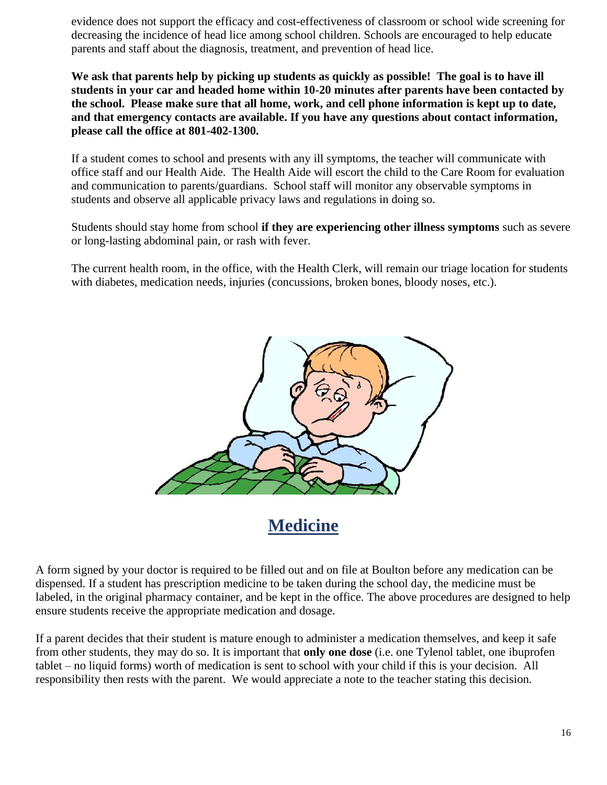evidence does not support the efficacy and cost-effectiveness of classroom or school wide screening for decreasing the incidence of head lice among school children. Schools are encouraged to help educate parents and staff about the diagnosis, treatment, and prevention of head lice.

We ask that parents help by picking up students as quickly as possible! The goal is to have ill **students in your car and headed home within 10-20 minutes after parents have been contacted by the school. Please make sure that all home, work, and cell phone information is kept up to date, and that emergency contacts are available. If you have any questions about contact information, please call the office at 801-402-1300.**

If a student comes to school and presents with any ill symptoms, the teacher will communicate with office staff and our Health Aide. The Health Aide will escort the child to the Care Room for evaluation and communication to parents/guardians. School staff will monitor any observable symptoms in students and observe all applicable privacy laws and regulations in doing so.

Students should stay home from school **if they are experiencing other illness symptoms** such as severe or long-lasting abdominal pain, or rash with fever.

The current health room, in the office, with the Health Clerk, will remain our triage location for students with diabetes, medication needs, injuries (concussions, broken bones, bloody noses, etc.).



### **Medicine**

A form signed by your doctor is required to be filled out and on file at Boulton before any medication can be dispensed. If a student has prescription medicine to be taken during the school day, the medicine must be labeled, in the original pharmacy container, and be kept in the office. The above procedures are designed to help ensure students receive the appropriate medication and dosage.

If a parent decides that their student is mature enough to administer a medication themselves, and keep it safe from other students, they may do so. It is important that **only one dose** (i.e. one Tylenol tablet, one ibuprofen tablet – no liquid forms) worth of medication is sent to school with your child if this is your decision. All responsibility then rests with the parent. We would appreciate a note to the teacher stating this decision.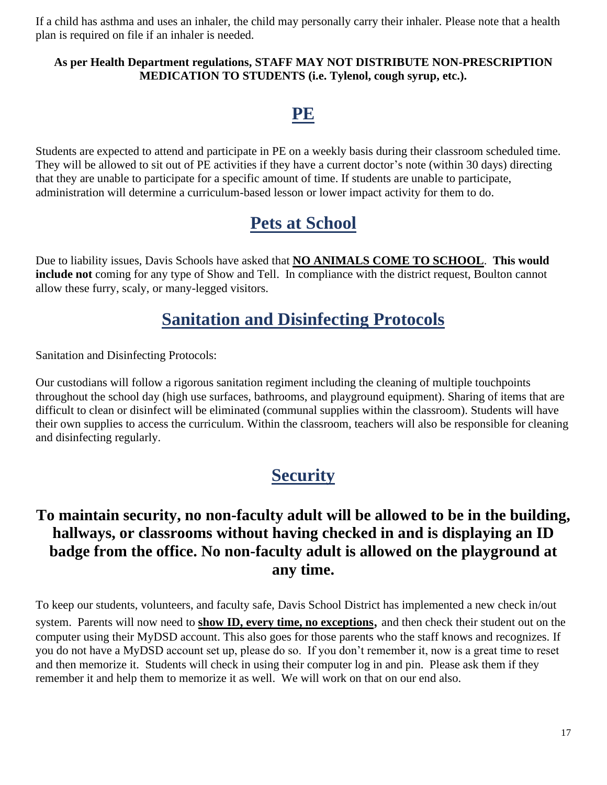If a child has asthma and uses an inhaler, the child may personally carry their inhaler. Please note that a health plan is required on file if an inhaler is needed.

#### **As per Health Department regulations, STAFF MAY NOT DISTRIBUTE NON-PRESCRIPTION MEDICATION TO STUDENTS (i.e. Tylenol, cough syrup, etc.).**

### **PE**

Students are expected to attend and participate in PE on a weekly basis during their classroom scheduled time. They will be allowed to sit out of PE activities if they have a current doctor's note (within 30 days) directing that they are unable to participate for a specific amount of time. If students are unable to participate, administration will determine a curriculum-based lesson or lower impact activity for them to do.

### **Pets at School**

Due to liability issues, Davis Schools have asked that **NO ANIMALS COME TO SCHOOL**. **This would include not** coming for any type of Show and Tell. In compliance with the district request, Boulton cannot allow these furry, scaly, or many-legged visitors.

### **Sanitation and Disinfecting Protocols**

Sanitation and Disinfecting Protocols:

Our custodians will follow a rigorous sanitation regiment including the cleaning of multiple touchpoints throughout the school day (high use surfaces, bathrooms, and playground equipment). Sharing of items that are difficult to clean or disinfect will be eliminated (communal supplies within the classroom). Students will have their own supplies to access the curriculum. Within the classroom, teachers will also be responsible for cleaning and disinfecting regularly.

### **Security**

### **To maintain security, no non-faculty adult will be allowed to be in the building, hallways, or classrooms without having checked in and is displaying an ID badge from the office. No non-faculty adult is allowed on the playground at any time.**

To keep our students, volunteers, and faculty safe, Davis School District has implemented a new check in/out system. Parents will now need to **show ID, every time, no exceptions**, and then check their student out on the computer using their MyDSD account. This also goes for those parents who the staff knows and recognizes. If you do not have a MyDSD account set up, please do so. If you don't remember it, now is a great time to reset and then memorize it. Students will check in using their computer log in and pin. Please ask them if they remember it and help them to memorize it as well. We will work on that on our end also.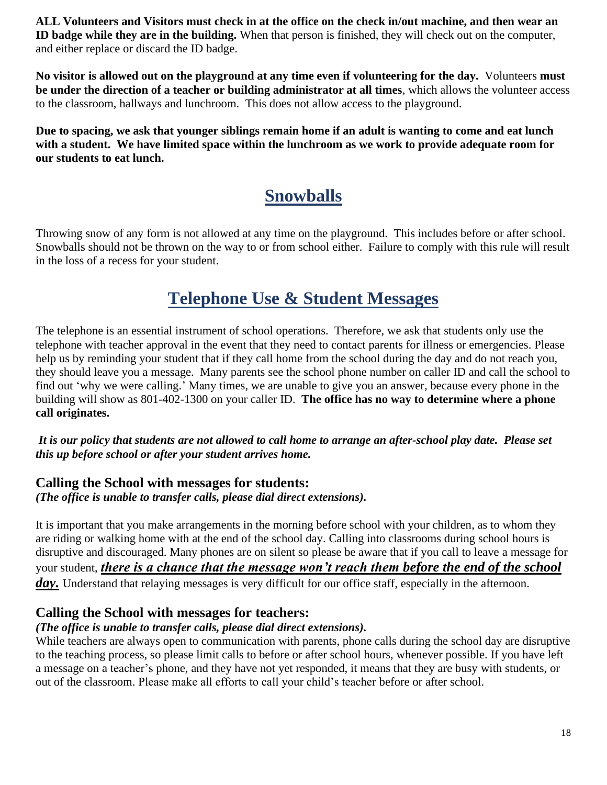**ALL Volunteers and Visitors must check in at the office on the check in/out machine, and then wear an ID badge while they are in the building.** When that person is finished, they will check out on the computer, and either replace or discard the ID badge.

**No visitor is allowed out on the playground at any time even if volunteering for the day.** Volunteers **must be under the direction of a teacher or building administrator at all times**, which allows the volunteer access to the classroom, hallways and lunchroom. This does not allow access to the playground.

**Due to spacing, we ask that younger siblings remain home if an adult is wanting to come and eat lunch with a student. We have limited space within the lunchroom as we work to provide adequate room for our students to eat lunch.** 

### **Snowballs**

Throwing snow of any form is not allowed at any time on the playground. This includes before or after school. Snowballs should not be thrown on the way to or from school either. Failure to comply with this rule will result in the loss of a recess for your student.

### **Telephone Use & Student Messages**

The telephone is an essential instrument of school operations. Therefore, we ask that students only use the telephone with teacher approval in the event that they need to contact parents for illness or emergencies. Please help us by reminding your student that if they call home from the school during the day and do not reach you, they should leave you a message. Many parents see the school phone number on caller ID and call the school to find out 'why we were calling.' Many times, we are unable to give you an answer, because every phone in the building will show as 801-402-1300 on your caller ID. **The office has no way to determine where a phone call originates.** 

*It is our policy that students are not allowed to call home to arrange an after-school play date. Please set this up before school or after your student arrives home.*

#### **Calling the School with messages for students:** *(The office is unable to transfer calls, please dial direct extensions).*

It is important that you make arrangements in the morning before school with your children, as to whom they are riding or walking home with at the end of the school day. Calling into classrooms during school hours is disruptive and discouraged. Many phones are on silent so please be aware that if you call to leave a message for your student, *there is a chance that the message won't reach them before the end of the school*  day. Understand that relaying messages is very difficult for our office staff, especially in the afternoon.

#### **Calling the School with messages for teachers:**

#### *(The office is unable to transfer calls, please dial direct extensions).*

While teachers are always open to communication with parents, phone calls during the school day are disruptive to the teaching process, so please limit calls to before or after school hours, whenever possible. If you have left a message on a teacher's phone, and they have not yet responded, it means that they are busy with students, or out of the classroom. Please make all efforts to call your child's teacher before or after school.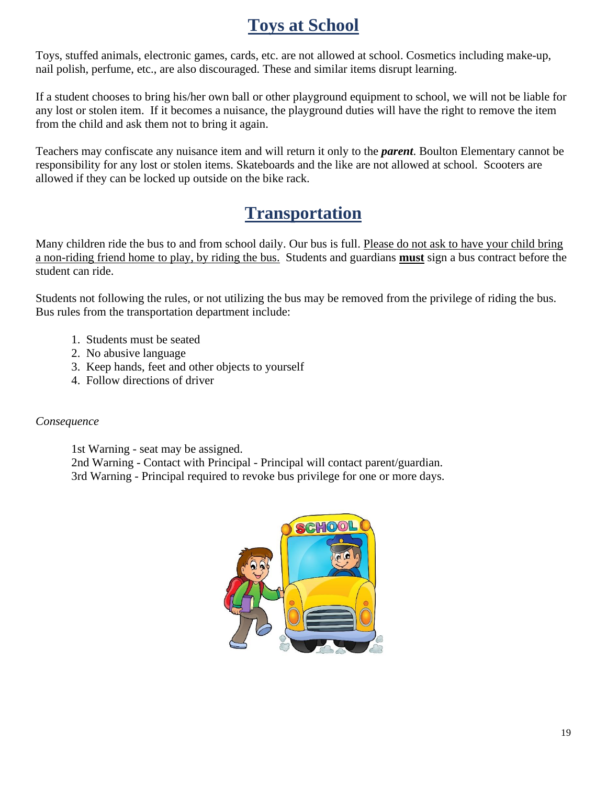### **Toys at School**

Toys, stuffed animals, electronic games, cards, etc. are not allowed at school. Cosmetics including make-up, nail polish, perfume, etc., are also discouraged. These and similar items disrupt learning.

If a student chooses to bring his/her own ball or other playground equipment to school, we will not be liable for any lost or stolen item. If it becomes a nuisance, the playground duties will have the right to remove the item from the child and ask them not to bring it again.

Teachers may confiscate any nuisance item and will return it only to the *parent*. Boulton Elementary cannot be responsibility for any lost or stolen items. Skateboards and the like are not allowed at school. Scooters are allowed if they can be locked up outside on the bike rack.

### **Transportation**

Many children ride the bus to and from school daily. Our bus is full. Please do not ask to have your child bring a non-riding friend home to play, by riding the bus. Students and guardians **must** sign a bus contract before the student can ride.

Students not following the rules, or not utilizing the bus may be removed from the privilege of riding the bus. Bus rules from the transportation department include:

- 1. Students must be seated
- 2. No abusive language
- 3. Keep hands, feet and other objects to yourself
- 4. Follow directions of driver

#### *Consequence*

1st Warning - seat may be assigned. 2nd Warning - Contact with Principal - Principal will contact parent/guardian. 3rd Warning - Principal required to revoke bus privilege for one or more days.

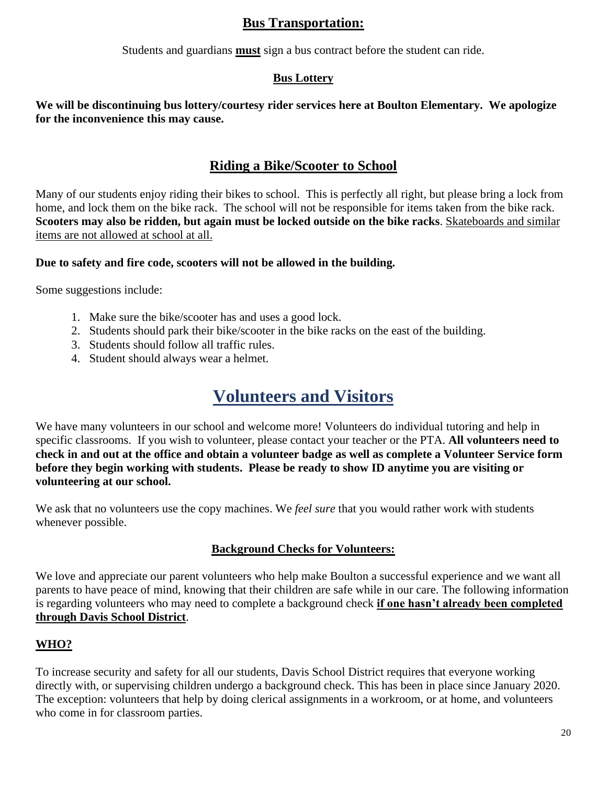#### **Bus Transportation:**

Students and guardians **must** sign a bus contract before the student can ride.

#### **Bus Lottery**

**We will be discontinuing bus lottery/courtesy rider services here at Boulton Elementary. We apologize for the inconvenience this may cause.** 

#### **Riding a Bike/Scooter to School**

Many of our students enjoy riding their bikes to school. This is perfectly all right, but please bring a lock from home, and lock them on the bike rack. The school will not be responsible for items taken from the bike rack. **Scooters may also be ridden, but again must be locked outside on the bike racks**. Skateboards and similar items are not allowed at school at all.

#### **Due to safety and fire code, scooters will not be allowed in the building.**

Some suggestions include:

- 1. Make sure the bike/scooter has and uses a good lock.
- 2. Students should park their bike/scooter in the bike racks on the east of the building.
- 3. Students should follow all traffic rules.
- 4. Student should always wear a helmet.

### **Volunteers and Visitors**

We have many volunteers in our school and welcome more! Volunteers do individual tutoring and help in specific classrooms. If you wish to volunteer, please contact your teacher or the PTA. **All volunteers need to check in and out at the office and obtain a volunteer badge as well as complete a Volunteer Service form before they begin working with students. Please be ready to show ID anytime you are visiting or volunteering at our school.** 

We ask that no volunteers use the copy machines. We *feel sure* that you would rather work with students whenever possible.

#### **Background Checks for Volunteers:**

We love and appreciate our parent volunteers who help make Boulton a successful experience and we want all parents to have peace of mind, knowing that their children are safe while in our care. The following information is regarding volunteers who may need to complete a background check **if one hasn't already been completed through Davis School District**.

#### **WHO?**

To increase security and safety for all our students, Davis School District requires that everyone working directly with, or supervising children undergo a background check. This has been in place since January 2020. The exception: volunteers that help by doing clerical assignments in a workroom, or at home, and volunteers who come in for classroom parties.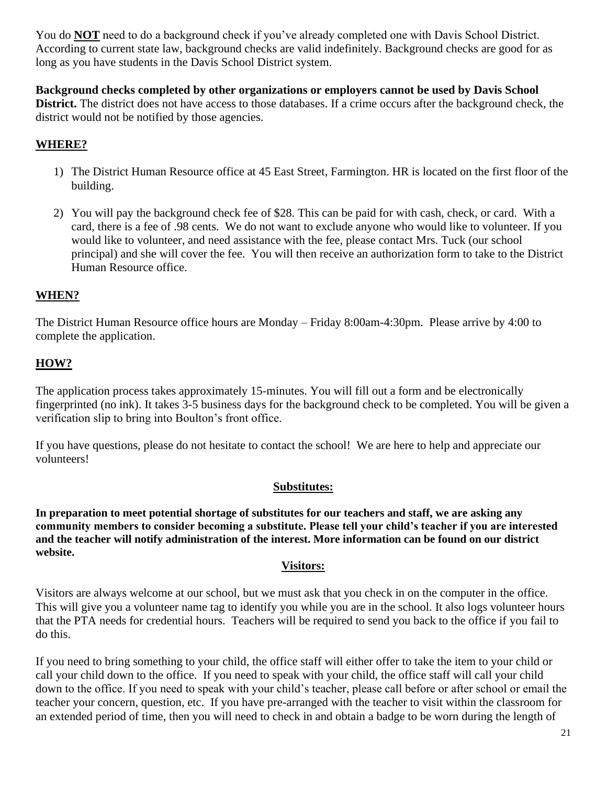You do **NOT** need to do a background check if you've already completed one with Davis School District. According to current state law, background checks are valid indefinitely. Background checks are good for as long as you have students in the Davis School District system.

**Background checks completed by other organizations or employers cannot be used by Davis School District.** The district does not have access to those databases. If a crime occurs after the background check, the district would not be notified by those agencies.

#### **WHERE?**

- 1) The District Human Resource office at 45 East Street, Farmington. HR is located on the first floor of the building.
- 2) You will pay the background check fee of \$28. This can be paid for with cash, check, or card. With a card, there is a fee of .98 cents. We do not want to exclude anyone who would like to volunteer. If you would like to volunteer, and need assistance with the fee, please contact Mrs. Tuck (our school principal) and she will cover the fee. You will then receive an authorization form to take to the District Human Resource office.

#### **WHEN?**

The District Human Resource office hours are Monday – Friday 8:00am-4:30pm. Please arrive by 4:00 to complete the application.

#### **HOW?**

The application process takes approximately 15-minutes. You will fill out a form and be electronically fingerprinted (no ink). It takes 3-5 business days for the background check to be completed. You will be given a verification slip to bring into Boulton's front office.

If you have questions, please do not hesitate to contact the school! We are here to help and appreciate our volunteers!

#### **Substitutes:**

**In preparation to meet potential shortage of substitutes for our teachers and staff, we are asking any community members to consider becoming a substitute. Please tell your child's teacher if you are interested and the teacher will notify administration of the interest. More information can be found on our district website.**

#### **Visitors:**

Visitors are always welcome at our school, but we must ask that you check in on the computer in the office. This will give you a volunteer name tag to identify you while you are in the school. It also logs volunteer hours that the PTA needs for credential hours. Teachers will be required to send you back to the office if you fail to do this.

If you need to bring something to your child, the office staff will either offer to take the item to your child or call your child down to the office. If you need to speak with your child, the office staff will call your child down to the office. If you need to speak with your child's teacher, please call before or after school or email the teacher your concern, question, etc. If you have pre-arranged with the teacher to visit within the classroom for an extended period of time, then you will need to check in and obtain a badge to be worn during the length of